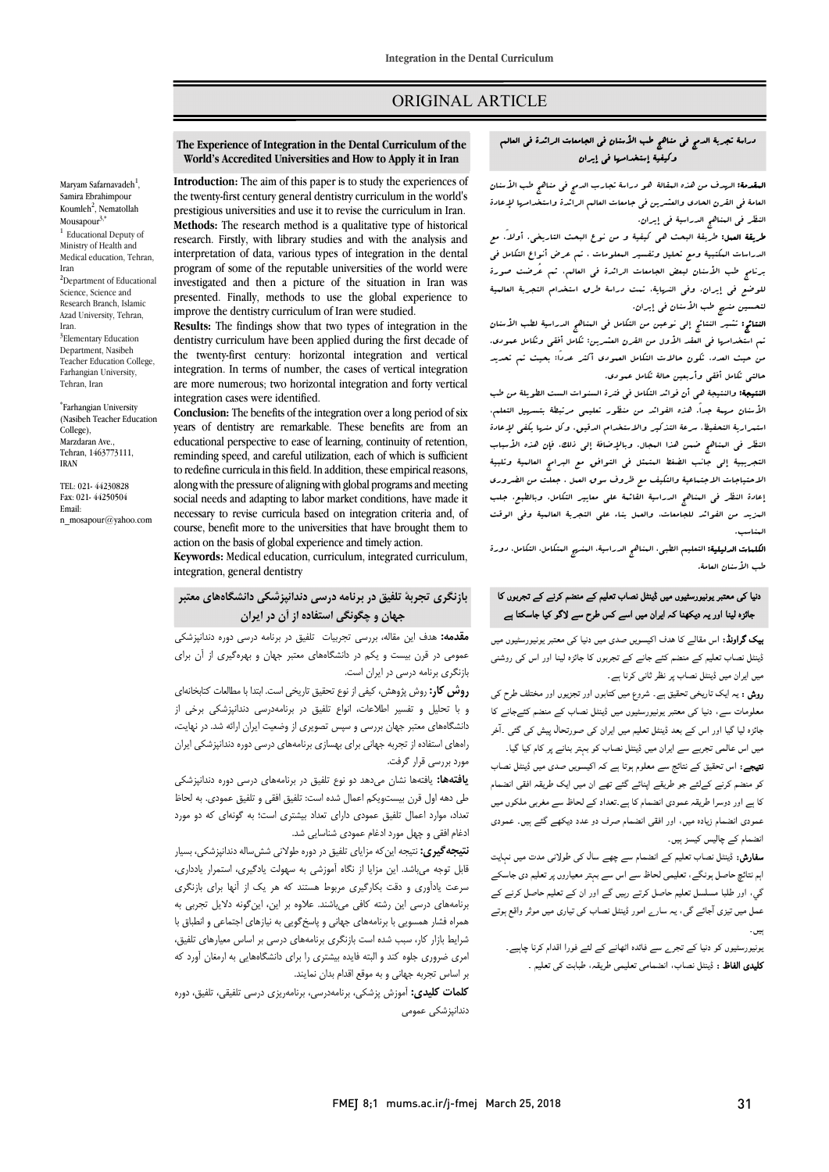## ORIGINAL ARTICLE

## دراسة تجربة الدمج فی مناهج طب الأسنان فی الجامعات الرائدة فی العالم<br>مثل التالي التالي التالية في التالية في التالية وکیفیۀ إستخدامها فی إیران

Ī 

ا**لبقدمة:** ال*هد*ف من هذه البقالۀ هو دراسۀ تجارب الدمج فی مناهج طب الأسنان العامۀ فی القرن الحادی والعشرین فی جامعات العالم الرائدة واستخدامها لإعادة<br>مثال المستخدمه مستخدمة المتحدة النظر فی المناهج الدراسیۀ فی إیران.

 طریقۀ العمل: طریقۀ البحث هی کیفیۀ و من نوع البحث التاریخی. أولا،ً مع الدراسات المکتبیۀ ومع تحلیل وتفسیر المعلومات ، تم عرض أنواع التکامل فی برنامج طب الأسنان لبعض الجامعات الرائدة فی العالم، ثم عُرضت صورة للوضع فی إیران. وفی النهایۀ، تمت دراسۀ طرق استخدام التجربۀ العالمیۀ لتحسین منهج طب الأسنان فی إیران.

**النتائج:** تشیر النتائج إلى نوعین من التکامل فی المناهج الدراسیۀ لطب الأسنان<br>مسابق المناسب المناسب الأسنان المناسب الأسنان الأسنان الأسنان الأسنان من حیث العدد، تکون حالات التکامل العمودي أکثر عددًا؛ بحیث تم تحدید حالتی تکامل أفقی وأربعین حالۀ تکامل عمودي. تم استخدامها فی العقد الأول من القرن العشرین: تکامل أفقی وتکامل عمودي.

 النتیجۀ: والنتیجۀ هی أن فوائد التکامل فی فترة السنوات الست الطویلۀ من طب الأسنان مهمۀ جدا.ً هذه الفوائد من منظور تعلیمی مرتبطۀ بتسهیل التعلم، استمراریۀ التحفیظ، سرعۀ التذکیر والاستخدام الدقیق، وکل منها یکفی لإعادة النظر فی المناهج ضمن هذا المجال. وبالإضافۀ إلى ذلک، فإن هذه الأسباب الاحتیاجات الاجتماعیۀ والتکیف مع ظروف سوق العمل ، جعلت من الضروري إعادة النظر فی المناهج الدراسیۀ القائمۀ على معاییر التکامل، وبالطبع، جلب المزید من الفوائد للجامعات، والعمل بناء على التجربۀ العالمیۀ وفی الوقت التجریبیۀ إلى جانب الضغط المتمثل فی التوافق مع البرامج العالمیۀ وتلبیۀ المناسب.

ا**لکلمات الدلیلیۀ:** التعلیم الطبی، المناهج الدراسیۀ، الم*نسج* العتکامل، التکامل، دورة<br>الکلمات طب الأسنان العامۀ.

## دنیا ک*ی* معتبر یونیورسٹیوں میں ڈینٹل نصاب تعلیم کے منضم کرنے کے تجربوں کا بائزہ لینا اور یہ دیکھنا کہ ایران میں اسے کس طرح سے لاگو کیا جاسکتا ہے

**یک گراونڈ:** اس مقالے کا ہدف اکیسویں صدی میں دنیا کی معتبر یونیورسٹیوں میں .<br>ڈینٹل نصاب تعلیم کے منضم کئے جانے کے تجربوں کا جائزہ لینا اور اس کی روشنی میں ایران میں ڈینٹل نصاب پر نظر ثانی کرنا ہے۔

**روش :** یہ ایک تاریخی تحقیق ہے۔ شروع میں کتابوں اور تجزیوں اور مختلف طرح کی معلومات سے، دنیا کی معتبر یونیورسٹیوں میں ڈینٹل نصاب کے منضم کئےجانے کا ہ اور اس ڈ اان رل ۔آ میں اس عالمی تجربے سے ایران میں ڈینٹل نصاب کو بہتر بنانے پر کام کیا گیا۔

بین اس حاصی تجربے سے ایران میں بیس سناپ نو بہتر بنانے پر نام بیا تیا ۔<br>**تیجے:** اس تحقیق کے نتائج سے معلوم ہوتا ہے کہ اکیسویں صدی میں ڈینٹل نصاب ا ان ا ا ام ۔ سے سے سے سے سے سے سے سے سے سے سے سے ۔<br>کا ہے اور دوسرا طریقہ عمودی انصمام کا ہے .تعداد کے لحاظ سے مغربی ملکوں میں ۔ ۔<br>عمودی انضمام زیادہ میں، اور افقی انضمام صرف دو عدد دیکھے گئے ہیں۔ عمودی انضمام کے چالیس کیسز ہیں۔

**سفارش:** ڈینٹل نصاب تعلیم کے انضمام سے چھے سال کی طولانی مدت میں نہایت اہم نتائچ حاصل ہونگے، تعلیمی لحاظ سے اس سے بہتر معیاروں پر تعلیم دی جاسکے گي، اور طلبا مسلسل تعلیم حاصل کرتے رہیں گے اور ان کے تعلیم حاصل کرنے کے<br>۔ عمل میں تیزی آجائے گی، یہ سارے امور ڈینٹل نصاب کی تیاری میں موثر واقع ہوتے<br>۔ ۔<br>بین -

بیں۔<br>بونیورسٹیوں کو دنیا کے تجر<sub>ے</sub> سے فائدہ اٹھانے کے لئے فورا اقدام کرنا چاہیے۔ ی اظ : ڈ ب، ا ، ۔

# **The Experience of Integration in the Dental Curriculum of the World's Accredited Universities and How to Apply it in Iran**

Ī 

 the twenty-first century general dentistry curriculum in the world's prestigious universities and use it to revise the curriculum in Iran. **Methods:** The research method is a qualitative type of historical interpretation of data, various types of integration in the dental program of some of the reputable universities of the world were presented. Finally, methods to use the global experience to improve the dentistry curriculum of Iran were studied. **Introduction:** The aim of this paper is to study the experiences of research. Firstly, with library studies and with the analysis and investigated and then a picture of the situation in Iran was

 **Results:** The findings show that two types of integration in the the twenty-first century: horizontal integration and vertical integration. In terms of number, the cases of vertical integration are more numerous; two horizontal integration and forty vertical<br>integration cases were identified dentistry curriculum have been applied during the first decade of integration cases were identified.

 **Conclusion:** The benefits of the integration over a long period of six years of dentistry are remarkable. These benefits are from an reminding speed, and careful utilization, each of which is sufficient to redefine curricula in this field. In addition, these empirical reasons, along with the pressure of angiling with global programs and inecting<br>social needs and adapting to labor market conditions, have made it necessary to revise curricula based on integration criteria and, of course, benefit more to the universities that have brought them to<br>exting an the hasis of clobal experience and timely esting educational perspective to ease of learning, continuity of retention, along with the pressure of aligning with global programs and meeting action on the basis of global experience and timely action.

 **Keywords:** Medical education, curriculum, integrated curriculum, integration, general dentistry

## **بازنگري تجربۀ تلفیق در برنامه درسی دندانپزشکی دانشگاههاي معتبر جهان و چگونگی استفاده از آن در ایران**

 **مقدمه:** هدف این مقاله، بررسی تجربیات تلفیق در برنامه درسی دوره دندانپزشکی عمومی در قرن بیست و یکم در دانشگاههاي معتبر جهان و بهرهگیري از آن براي بازنگري برنامه درسی در ایران است.

 **روش کار:** روش پژوهش، کیفی از نوع تحقیق تاریخی است. ابتدا با مطالعات کتابخانهاي و با تحلیل و تفسیر اطلاعات، انواع تلفیق در برنامهدرسی دندانپزشکی برخی از<br>انبکار ا ه ساخت و ستبر بهای بررسی و سپس خبویری از وحسیب بیران از آساسه در مهیب .<br>راههای استفاده از تجربه جهانی برای بهسازی برنامههای درسی دوره دندانپزشکی ایران دانشگاههاي معتبر جهان بررسی و سپس تصویري از وضعیت ایران ارائه شد. در نهایت، مورد بررسی قرار گرفت.

 **یافتهها:** یافتهها نشان میدهد دو نوع تلفیق در برنامههاي درسی دوره دندانپزشکی طی دهه اول قرن بیستویکم اعمال شده است: تلفیق افقی و تلفیق عمودي. به لحاظ تعداد، موارد اعمال تلفیق عمودي داراي تعداد بیشتري است؛ به گونهاي که دو مورد ادغام افقی و چهل مورد ادغام عمودي شناسایی شد.

 **نتیجهگیري:** نتیجه اینکه مزایاي تلفیق در دوره طولانی ششساله دندانپزشکی، بسیار مبر عوجه می هستند این مربع از حاده امورسی به سهولت یادیوری، استمرار یادداری.<br>سرعت یادآوری و دقت بکارگیری مربوط هستند که هر یک از آنها برای بازنگری برنامههاي درسی این رشته کافی میباشند. علاوه بر این، اینگونه دلایل تجربی به همراه فشار همسویی با برنامههاي جهانی و پاسخگویی به نیازهاي اجتماعی و انطباق با شرایط بازار کار، سبب شده است بازنگري برنامههاي درسی بر اساس معیارهاي تلفیق، امري ضروري جلوه کند و البته فایده بیشتري را براي دانشگاههایی به ارمغان آورد که بر اساس تجربه جهانی و به موقع اقدام بدان نمایند. قابل توجه میباشد. این مزایا از نگاه آموزشی به سهولت یادگیري، استمرار یادداري،

 **کلمات کلیدي:** آموزش پزشکی، برنامهدرسی، برنامهریزي درسی تلفیقی، تلفیق، دوره دندانپزشکی عمومی

Samira Ebrahimpour Koumleh<sup>2</sup>, Nematollah Mousapour $3$ , <sup>1</sup> Educational Deputy of Ministry of Health and Medical education, Tehran Iran <sup>2</sup>Department of Educational Science, Science and Research Branch, Islamic Azad University, Tehran, Iran. <sup>3</sup>Elementary Education Department, Nasibeh Teacher Education College, Farhangian University, Tehran, Iran

Maryam Safarnavadeh<sup>1</sup>,

\* Farhangian University (Nasibeh Teacher Education College), Marzdaran Ave., Tehran, 1463773111, IRAN

TEL: 021- 44230828 Fax: 021- 44250504 Email: n\_mosapour@yahoo.com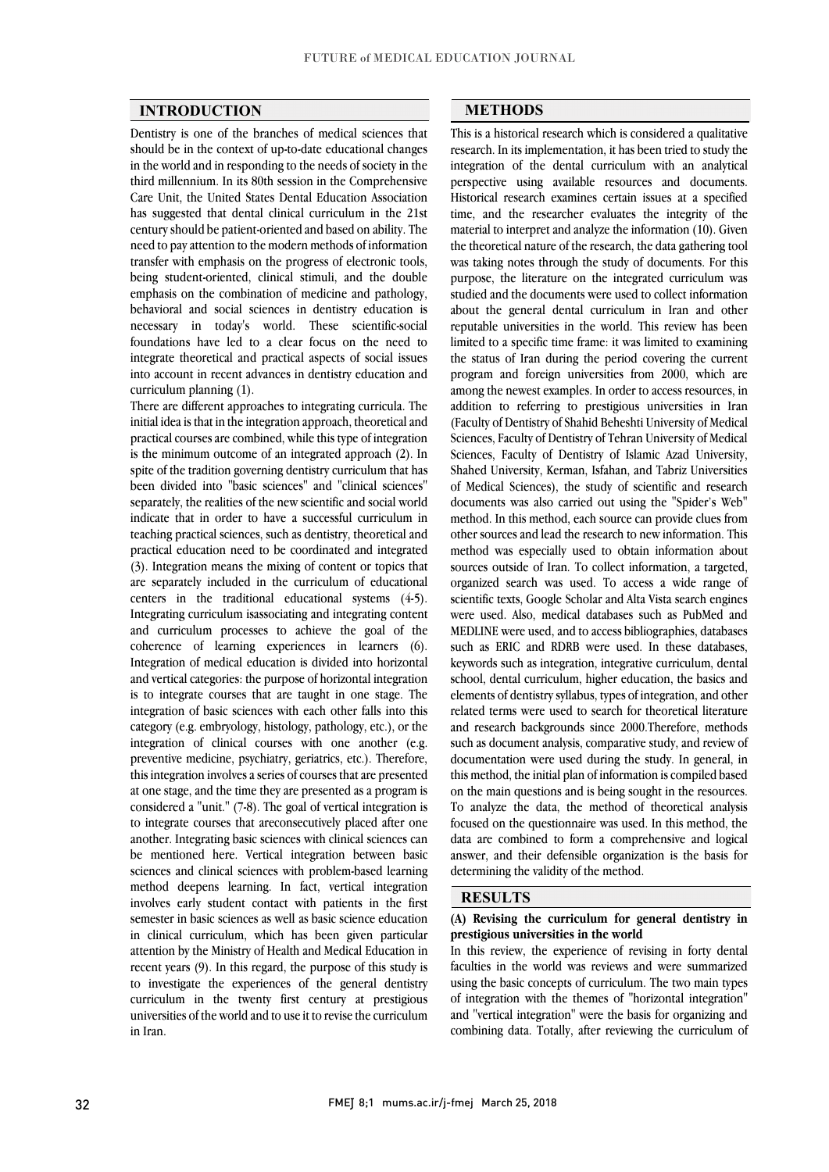### **INTRODUCTION**

 Dentistry is one of the branches of medical sciences that should be in the context of up-to-date educational changes in the world and in responding to the needs of society in the Care Unit, the United States Dental Education Association has suggested that dental clinical curriculum in the 21st century should be patient-oriented and based on ability. The need to pay attention to the modern methods of information being student-oriented, clinical stimuli, and the double emphasis on the combination of medicine and pathology, behavioral and social sciences in dentistry education is necessary in today's world. These scientific-social integrate theoretical and practical aspects of social issues into account in recent advances in dentistry education and third millennium. In its 80th session in the Comprehensive transfer with emphasis on the progress of electronic tools, foundations have led to a clear focus on the need to curriculum planning (1).

inere are different approaches to integrating curricula. The<br>initial idea is that in the integration approach, theoretical and practical courses are combined, while this type of integration is the minimum outcome of an integrated approach (2). In spite of the tradition governing dentistry curriculum that has been divided into "basic sciences" and "clinical sciences" indicate that in order to have a successful curriculum in teaching practical sciences, such as dentistry, theoretical and practical education need to be coordinated and integrated (b). Integration means the mixing of content of topics that are separately included in the curriculum of educational centers in the traditional educational systems  $(4-5)$ . Integrating curriculum isassociating and integrating content and curriculum processes to achieve the goal of the Integration of medical education is divided into horizontal and vertical categories: the purpose of horizontal integration is to integrate courses that are taught in one stage. The integration of basic sciences with each other falls into this eategory (e.g. embryology, motology, pathology, etc.), or the integration of clinical courses with one another (e.g. preventive medicine, psychiatry, geriatrics, etc.). Therefore, this integration involves a series of courses that are presented at one stage, and the time they are presented as a program is to integrate courses that are consecutively placed after one another. Integrating basic sciences with clinical sciences can be mentioned here. Vertical integration between basic sciences and cinnear sciences with problem-based learning<br>method deepens learning. In fact, vertical integration involves early student contact with patients in the first semester in basic sciences as well as basic science education in clinical curriculum, which has been given particular recent years (9). In this regard, the purpose of this study is to investigate the experiences of the general dentistry curriculum in the twenty first century at prestigious universities of the world and to use it to revise the curriculum There are different approaches to integrating curricula. The separately, the realities of the new scientific and social world (3). Integration means the mixing of content or topics that coherence of learning experiences in learners (6). category (e.g. embryology, histology, pathology, etc.), or the considered a "unit." (7-8). The goal of vertical integration is sciences and clinical sciences with problem-based learning attention by the Ministry of Health and Medical Education in in Iran.

#### **METHODS**

 This is a historical research which is considered a qualitative research. In its implementation, it has been tried to study the integration of the dental curriculum with an analytical Historical research examines certain issues at a specified time, and the researcher evaluates the integrity of the material to interpret and analyze the information (10). Given the theoretical nature of the research, the data gathering tool purpose, the literature on the integrated curriculum was studied and the documents were used to collect information about the general dental curriculum in Iran and other reputable universities in the world. This review has been the status of Iran during the period covering the current program and foreign universities from 2000, which are among the newest examples. In order to access resources, in (Faculty of Dentistry of Shahid Beheshti University of Medical Sciences, Faculty of Dentistry of Tehran University of Medical Sciences, Faculty of Dentistry of Islamic Azad University, Shahed University, Kerman, Isfahan, and Tabriz Universities documents was also carried out using the "Spider's Web" method. In this method, each source can provide clues from other sources and lead the research to new information. This method was especially used to obtain information about organized search was used. To access a wide range of scientific texts, Google Scholar and Alta Vista search engines were used. Also, medical databases such as PubMed and MEDLINE were used, and to access bibliographies, databases keywords such as integration, integrative curriculum, dental school, dental curriculum, higher education, the basics and elements of dentistry syllabus, types of integration, and other related terms were used to search for theoretical literature such as document analysis, comparative study, and review of documentation were used during the study. In general, in this method, the initial plan of information is compiled based on the main questions and is being sought in the resources.<br>To analyze the data, the method of theoretical analysis focused on the questionnaire was used. In this method, the data are combined to form a comprehensive and logical answer, and their defensible organization is the basis for  $\overline{a}$ perspective using available resources and documents. was taking notes through the study of documents. For this limited to a specific time frame: it was limited to examining addition to referring to prestigious universities in Iran of Medical Sciences), the study of scientific and research sources outside of Iran. To collect information, a targeted, such as ERIC and RDRB were used. In these databases, and research backgrounds since 2000.Therefore, methods on the main questions and is being sought in the resources. determining the validity of the method.

#### **RESULTS**

#### **(A) Revising the curriculum for general dentistry in prestigious universities in the world**

prestigious universities in the world<br>In this review, the experience of revising in forty dental faculties in the world was reviews and were summarized using the basic concepts of curriculum. The two main types of integration with the themes of "horizontal integration" and "vertical integration" were the basis for organizing and combining data. Totally, after reviewing the curriculum of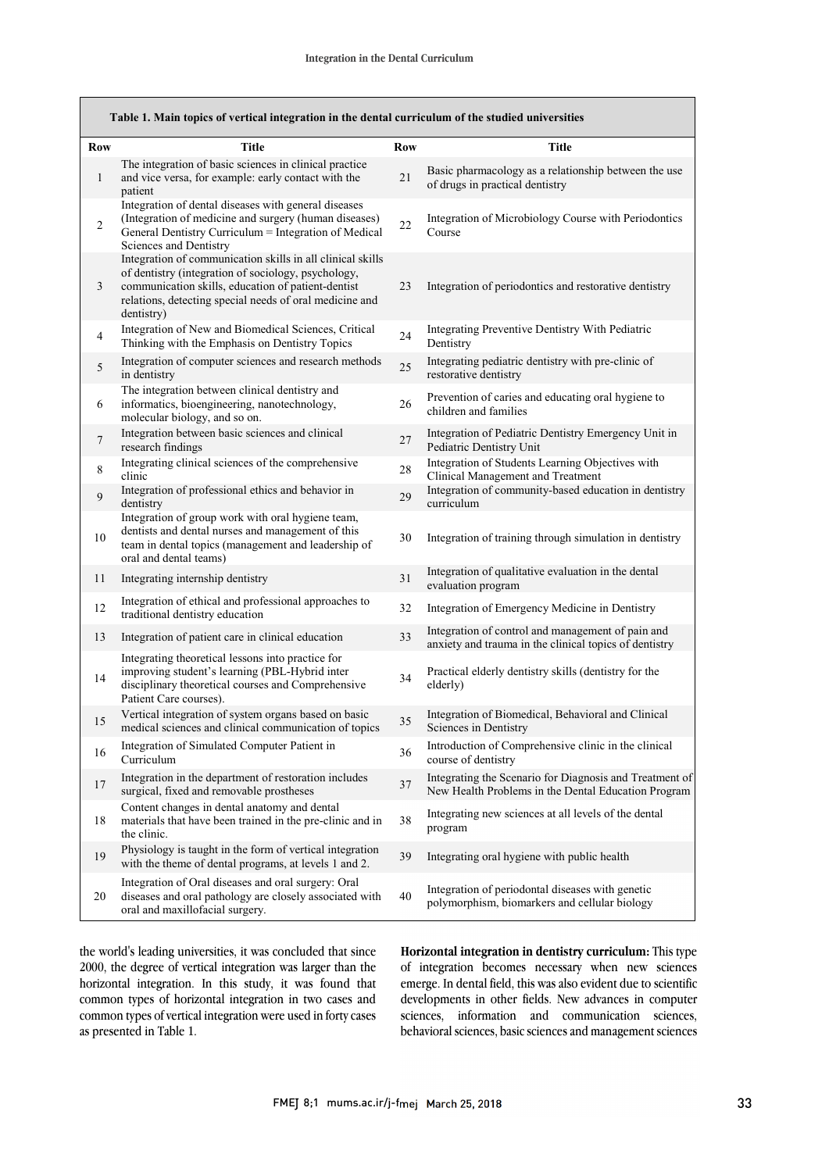| Table 1. Main topics of vertical integration in the dental curriculum of the studied universities |                                                                                                                                                                                                                                                  |     |                                                                                                                |  |  |
|---------------------------------------------------------------------------------------------------|--------------------------------------------------------------------------------------------------------------------------------------------------------------------------------------------------------------------------------------------------|-----|----------------------------------------------------------------------------------------------------------------|--|--|
| Row                                                                                               | Title                                                                                                                                                                                                                                            | Row | Title                                                                                                          |  |  |
| $\mathbf{1}$                                                                                      | The integration of basic sciences in clinical practice<br>and vice versa, for example: early contact with the<br>patient                                                                                                                         | 21  | Basic pharmacology as a relationship between the use<br>of drugs in practical dentistry                        |  |  |
| 2                                                                                                 | Integration of dental diseases with general diseases<br>(Integration of medicine and surgery (human diseases)<br>General Dentistry Curriculum = Integration of Medical<br>Sciences and Dentistry                                                 | 22  | Integration of Microbiology Course with Periodontics<br>Course                                                 |  |  |
| 3                                                                                                 | Integration of communication skills in all clinical skills<br>of dentistry (integration of sociology, psychology,<br>communication skills, education of patient-dentist<br>relations, detecting special needs of oral medicine and<br>dentistry) | 23  | Integration of periodontics and restorative dentistry                                                          |  |  |
| $\overline{4}$                                                                                    | Integration of New and Biomedical Sciences, Critical<br>Thinking with the Emphasis on Dentistry Topics                                                                                                                                           | 24  | Integrating Preventive Dentistry With Pediatric<br>Dentistry                                                   |  |  |
| 5                                                                                                 | Integration of computer sciences and research methods<br>in dentistry                                                                                                                                                                            | 25  | Integrating pediatric dentistry with pre-clinic of<br>restorative dentistry                                    |  |  |
| 6                                                                                                 | The integration between clinical dentistry and<br>informatics, bioengineering, nanotechnology,<br>molecular biology, and so on.                                                                                                                  | 26  | Prevention of caries and educating oral hygiene to<br>children and families                                    |  |  |
| 7                                                                                                 | Integration between basic sciences and clinical<br>research findings                                                                                                                                                                             | 27  | Integration of Pediatric Dentistry Emergency Unit in<br>Pediatric Dentistry Unit                               |  |  |
| 8                                                                                                 | Integrating clinical sciences of the comprehensive<br>clinic                                                                                                                                                                                     | 28  | Integration of Students Learning Objectives with<br>Clinical Management and Treatment                          |  |  |
| 9                                                                                                 | Integration of professional ethics and behavior in<br>dentistry                                                                                                                                                                                  | 29  | Integration of community-based education in dentistry<br>curriculum                                            |  |  |
| 10                                                                                                | Integration of group work with oral hygiene team,<br>dentists and dental nurses and management of this<br>team in dental topics (management and leadership of<br>oral and dental teams)                                                          | 30  | Integration of training through simulation in dentistry                                                        |  |  |
| 11                                                                                                | Integrating internship dentistry                                                                                                                                                                                                                 | 31  | Integration of qualitative evaluation in the dental<br>evaluation program                                      |  |  |
| 12                                                                                                | Integration of ethical and professional approaches to<br>traditional dentistry education                                                                                                                                                         | 32  | Integration of Emergency Medicine in Dentistry                                                                 |  |  |
| 13                                                                                                | Integration of patient care in clinical education                                                                                                                                                                                                | 33  | Integration of control and management of pain and<br>anxiety and trauma in the clinical topics of dentistry    |  |  |
| 14                                                                                                | Integrating theoretical lessons into practice for<br>improving student's learning (PBL-Hybrid inter<br>disciplinary theoretical courses and Comprehensive<br>Patient Care courses).                                                              | 34  | Practical elderly dentistry skills (dentistry for the<br>elderly)                                              |  |  |
| 15                                                                                                | Vertical integration of system organs based on basic<br>medical sciences and clinical communication of topics                                                                                                                                    | 35  | Integration of Biomedical, Behavioral and Clinical<br>Sciences in Dentistry                                    |  |  |
| 16                                                                                                | Integration of Simulated Computer Patient in<br>Curriculum                                                                                                                                                                                       | 36  | Introduction of Comprehensive clinic in the clinical<br>course of dentistry                                    |  |  |
| 17                                                                                                | Integration in the department of restoration includes<br>surgical, fixed and removable prostheses                                                                                                                                                | 37  | Integrating the Scenario for Diagnosis and Treatment of<br>New Health Problems in the Dental Education Program |  |  |
| 18                                                                                                | Content changes in dental anatomy and dental<br>materials that have been trained in the pre-clinic and in<br>the clinic.                                                                                                                         | 38  | Integrating new sciences at all levels of the dental<br>program                                                |  |  |
| 19                                                                                                | Physiology is taught in the form of vertical integration<br>with the theme of dental programs, at levels 1 and 2.                                                                                                                                | 39  | Integrating oral hygiene with public health                                                                    |  |  |
| 20                                                                                                | Integration of Oral diseases and oral surgery: Oral<br>diseases and oral pathology are closely associated with<br>oral and maxillofacial surgery.                                                                                                | 40  | Integration of periodontal diseases with genetic<br>polymorphism, biomarkers and cellular biology              |  |  |

 2000, the degree of vertical integration was larger than the horizontal integration. In this study, it was found that common types of horizontal integration in two cases and common types of vertical integration were used in forty cases the world's leading universities, it was concluded that since as presented in Table 1.

 **Horizontal integration in dentistry curriculum:** This type of integration becomes necessary when new sciences emerge. In dental field, this was also evident due to scientific developments in other fields. New advances in computer sciences, information and communication sciences, behavioral sciences, basic sciences and management sciences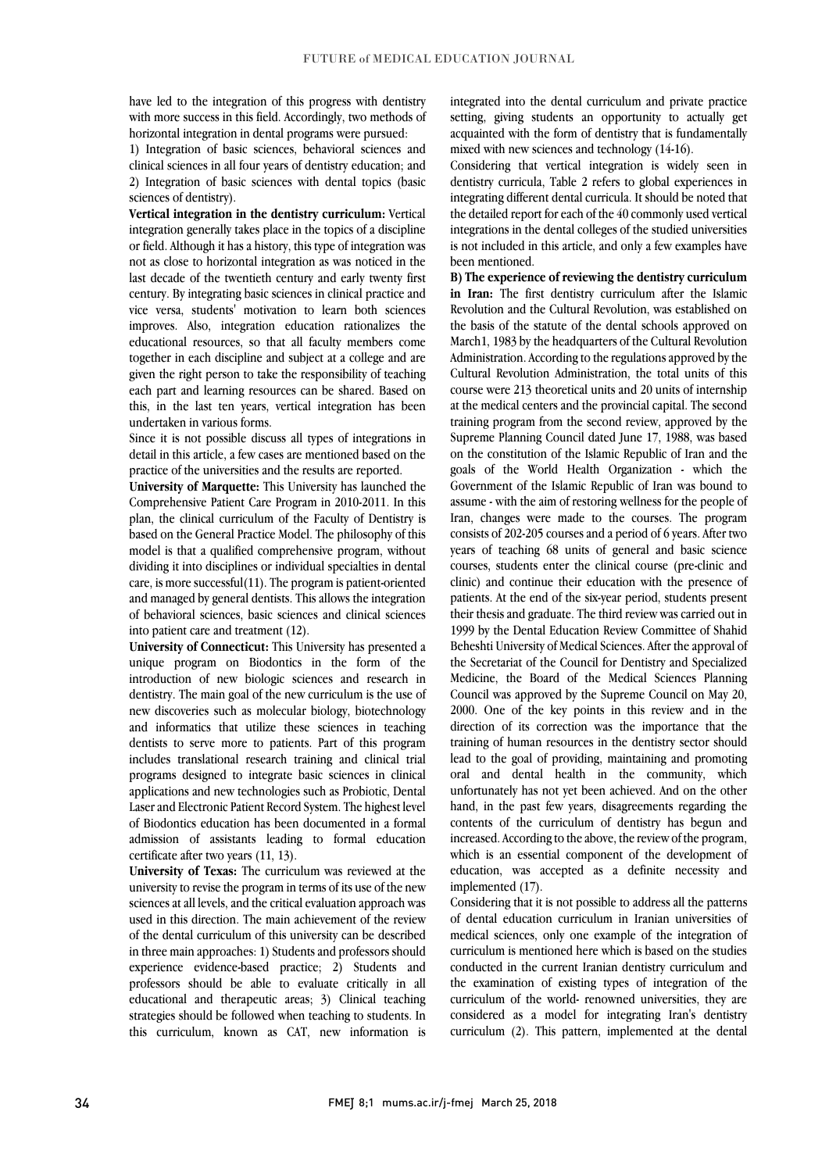have led to the integration of this progress with definishly<br>with more success in this field. Accordingly, two methods of have led to the integration of this progress with dentistry horizontal integration in dental programs were pursued:

 1) Integration of basic sciences, behavioral sciences and clinical sciences in all four years of dentistry education; and 2) Integration of basic sciences with dental topics (basic sciences of dentistry).

 **Vertical integration in the dentistry curriculum:** Vertical integration generally takes place in the topics of a discipline or field. Although it has a history, this type of integration was last decade of the twentieth century and early twenty first century. By integrating basic sciences in clinical practice and vice versa, students' motivation to learn both sciences improves. Also, integration education rationalizes the together in each discipline and subject at a college and are given the right person to take the responsibility of teaching each part and learning resources can be shared. Based on this, in the last ten years, vertical integration has been not as close to horizontal integration as was noticed in the educational resources, so that all faculty members come undertaken in various forms.

Since it is not possible discuss all types of integrations in detail in this article, a few cases are mentioned based on the practice of the universities and the results are reported.

 **University of Marquette:** This University has launched the plan, the clinical curriculum of the Faculty of Dentistry is based on the General Practice Model. The philosophy of this model is that a qualified comprehensive program, without care, is more successful(11). The program is patient-oriented and managed by general dentists. This allows the integration of behavioral sciences, basic sciences and clinical sciences Comprehensive Patient Care Program in 2010-2011. In this dividing it into disciplines or individual specialties in dental into patient care and treatment (12).

 unique program on Biodontics in the form of the introduction of new biologic sciences and research in dentistry. The main goal of the new curriculum is the use of new discoveries such as molecular biology, biotechnology dentists to serve more to patients. Part of this program includes translational research training and clinical trial programs designed to integrate basic sciences in clinical applications and new technologies such as Probiotic, Dental of Biodontics education has been documented in a formal admission of assistants leading to formal education **University of Connecticut:** This University has presented a and informatics that utilize these sciences in teaching Laser and Electronic Patient Record System. The highest level certificate after two years (11, 13).

 **University of Texas:** The curriculum was reviewed at the sciences at all levels, and the critical evaluation approach was used in this direction. The main achievement of the review of the dental curriculum of this university can be described experience evidence-based practice; 2) Students and professors should be able to evaluate critically in all educational and therapeutic areas; 3) Clinical teaching strategies should be followed when teaching to students. In this curriculum, known as CAT, new information is university to revise the program in terms of its use of the new in three main approaches: 1) Students and professors should

 setting, giving students an opportunity to actually get acquainted with the form of dentistry that is fundamentally integrated into the dental curriculum and private practice mixed with new sciences and technology (14-16).

 Considering that vertical integration is widely seen in dentistry curricula, Table 2 Telers to global experiences in<br>integrating different dental curricula. It should be noted that the detailed report for each of the 40 commonly used vertical integrations in the dental colleges of the studied universities is not included in this article, and only a few examples have dentistry curricula, Table 2 refers to global experiences in been mentioned.

 **B) The experience of reviewing the dentistry curriculum in Iran:** The first dentistry curriculum after the Islamic Revolution and the Cultural Revolution, was established on the basis of the statute of the dental schools approved on<br>M<sub>1</sub> 11 12001 and the dental schools approved on Administration. According to the regulations approved by the Cultural Revolution Administration, the total units of this course were 213 theoretical units and 20 units of internship at the medical centers and the provincial capital. The second<br>training program from the second review, approved by the Supreme Planning Council dated June 17, 1988, was based on the constitution of the Islamic Republic of Iran and the goals of the World Health Organization - which the assume - with the aim of restoring wellness for the people of Iran, changes were made to the courses. The program consists of 202-205 courses and a period of 6 years. After two years of teaching 68 units of general and basic science courses, students effect the emitteat course (pre-emite and clinic) and continue their education with the presence of patients. At the end of the six-year period, students present their thesis and graduate. The third review was carried out in 1999 by the Dental Education Review Committee of Shahid the Secretariat of the Council for Dentistry and Specialized Medicine, the Board of the Medical Sciences Planning Council was approved by the Supreme Council on May 20, 2000. One of the key points in this review and in the training of human resources in the dentistry sector should lead to the goal of providing, maintaining and promoting oral and dental health in the community, which unfortunately has not yet been achieved. And on the other contents of the curriculum of dentistry has begun and increased. According to the above, the review of the program, which is an essential component of the development of education, was accepted as a definite necessity and March1, 1983 by the headquarters of the Cultural Revolution at the medical centers and the provincial capital. The second Government of the Islamic Republic of Iran was bound to courses, students enter the clinical course (pre-clinic and Beheshti University of Medical Sciences. After the approval of direction of its correction was the importance that the hand, in the past few years, disagreements regarding the implemented (17).

 $\frac{1}{2}$ Considering that it is not possible to address all the patterns of dental education curriculum in Iranian universities of medical sciences, only one example of the integration of conducted in the current Iranian dentistry curriculum and the examination of existing types of integration of the curriculum of the world- renowned universities, they are considered as a model for integrating Iran's dentistry curriculum (2). This pattern, implemented at the dental curriculum is mentioned here which is based on the studies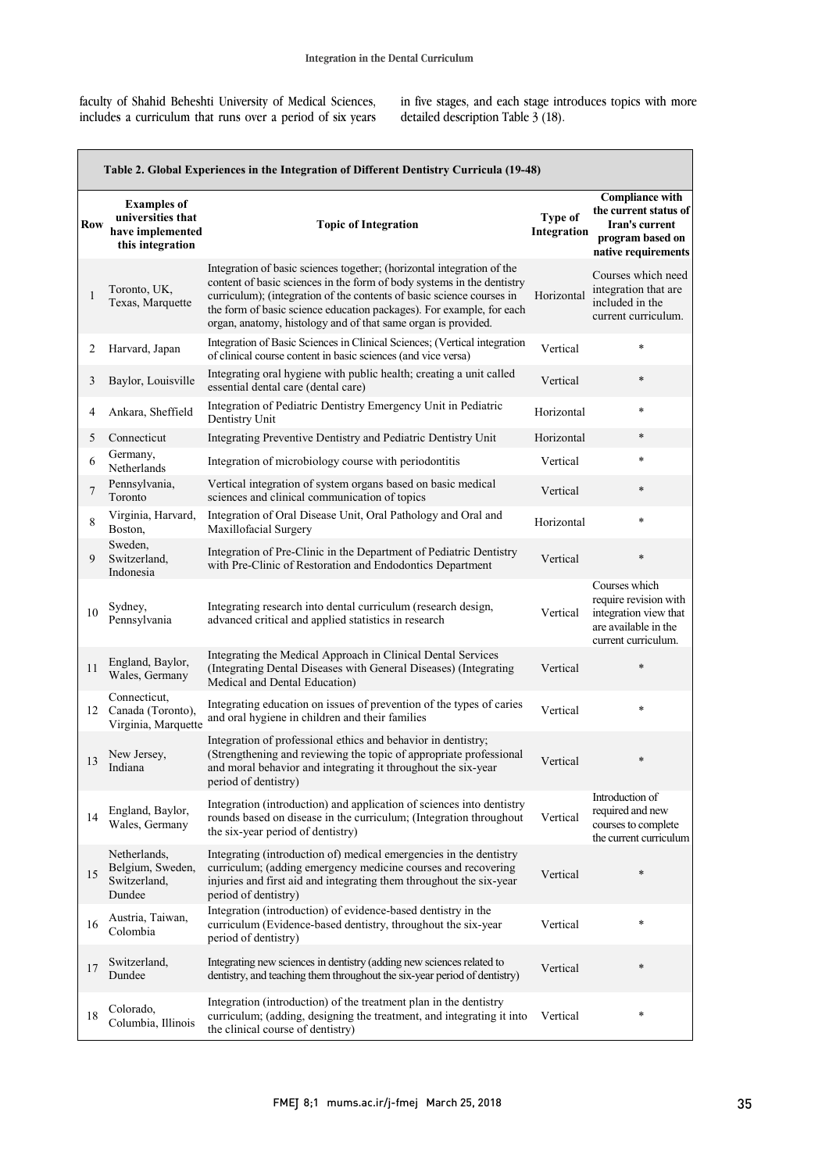faculty of Shahid Beheshti University of Medical Sciences, includes a curriculum that runs over a period of six years in five stages, and each stage introduces topics with more detailed description Table 3 (18).

| Table 2. Global Experiences in the Integration of Different Dentistry Curricula (19-48) |                                                                                 |                                                                                                                                                                                                                                                                                                                                                                    |                        |                                                                                                                |
|-----------------------------------------------------------------------------------------|---------------------------------------------------------------------------------|--------------------------------------------------------------------------------------------------------------------------------------------------------------------------------------------------------------------------------------------------------------------------------------------------------------------------------------------------------------------|------------------------|----------------------------------------------------------------------------------------------------------------|
| Row                                                                                     | <b>Examples of</b><br>universities that<br>have implemented<br>this integration | <b>Topic of Integration</b>                                                                                                                                                                                                                                                                                                                                        | Type of<br>Integration | <b>Compliance with</b><br>the current status of<br>Iran's current<br>program based on<br>native requirements   |
| 1                                                                                       | Toronto, UK,<br>Texas, Marquette                                                | Integration of basic sciences together; (horizontal integration of the<br>content of basic sciences in the form of body systems in the dentistry<br>curriculum); (integration of the contents of basic science courses in<br>the form of basic science education packages). For example, for each<br>organ, anatomy, histology and of that same organ is provided. | Horizontal             | Courses which need<br>integration that are.<br>included in the<br>current curriculum.                          |
| 2                                                                                       | Harvard, Japan                                                                  | Integration of Basic Sciences in Clinical Sciences; (Vertical integration<br>of clinical course content in basic sciences (and vice versa)                                                                                                                                                                                                                         | Vertical               | $\ast$                                                                                                         |
| 3                                                                                       | Baylor, Louisville                                                              | Integrating oral hygiene with public health; creating a unit called<br>essential dental care (dental care)                                                                                                                                                                                                                                                         | Vertical               | $\ast$                                                                                                         |
| 4                                                                                       | Ankara, Sheffield                                                               | Integration of Pediatric Dentistry Emergency Unit in Pediatric<br>Dentistry Unit                                                                                                                                                                                                                                                                                   | Horizontal             | $\ast$                                                                                                         |
| 5                                                                                       | Connecticut                                                                     | Integrating Preventive Dentistry and Pediatric Dentistry Unit                                                                                                                                                                                                                                                                                                      | Horizontal             | $\ast$                                                                                                         |
| 6                                                                                       | Germany,<br>Netherlands                                                         | Integration of microbiology course with periodontitis                                                                                                                                                                                                                                                                                                              | Vertical               | $\ast$                                                                                                         |
| 7                                                                                       | Pennsylvania,<br>Toronto                                                        | Vertical integration of system organs based on basic medical<br>sciences and clinical communication of topics                                                                                                                                                                                                                                                      | Vertical               | $\ast$                                                                                                         |
| 8                                                                                       | Virginia, Harvard,<br>Boston,                                                   | Integration of Oral Disease Unit, Oral Pathology and Oral and<br>Maxillofacial Surgery                                                                                                                                                                                                                                                                             | Horizontal             | $\ast$                                                                                                         |
| 9                                                                                       | Sweden,<br>Switzerland,<br>Indonesia                                            | Integration of Pre-Clinic in the Department of Pediatric Dentistry<br>with Pre-Clinic of Restoration and Endodontics Department                                                                                                                                                                                                                                    | Vertical               | $\ast$                                                                                                         |
| 10                                                                                      | Sydney,<br>Pennsylvania                                                         | Integrating research into dental curriculum (research design,<br>advanced critical and applied statistics in research                                                                                                                                                                                                                                              | Vertical               | Courses which<br>require revision with<br>integration view that<br>are available in the<br>current curriculum. |
| 11                                                                                      | England, Baylor,<br>Wales, Germany                                              | Integrating the Medical Approach in Clinical Dental Services<br>(Integrating Dental Diseases with General Diseases) (Integrating<br>Medical and Dental Education)                                                                                                                                                                                                  | Vertical               | *                                                                                                              |
| 12                                                                                      | Connecticut,<br>Canada (Toronto),<br>Virginia, Marquette                        | Integrating education on issues of prevention of the types of caries<br>and oral hygiene in children and their families                                                                                                                                                                                                                                            | Vertical               | $\ast$                                                                                                         |
| 13                                                                                      | New Jersey,<br>Indiana                                                          | Integration of professional ethics and behavior in dentistry;<br>(Strengthening and reviewing the topic of appropriate professional<br>and moral behavior and integrating it throughout the six-year<br>period of dentistry)                                                                                                                                       | Vertical               | $\ast$                                                                                                         |
| 14                                                                                      | England, Baylor,<br>Wales, Germany                                              | Integration (introduction) and application of sciences into dentistry<br>rounds based on disease in the curriculum; (Integration throughout<br>the six-year period of dentistry)                                                                                                                                                                                   | Vertical               | Introduction of<br>required and new<br>courses to complete<br>the current curriculum                           |
| 15                                                                                      | Netherlands,<br>Belgium, Sweden,<br>Switzerland,<br>Dundee                      | Integrating (introduction of) medical emergencies in the dentistry<br>curriculum; (adding emergency medicine courses and recovering<br>injuries and first aid and integrating them throughout the six-year<br>period of dentistry)                                                                                                                                 | Vertical               | $\ast$                                                                                                         |
| 16                                                                                      | Austria, Taiwan,<br>Colombia                                                    | Integration (introduction) of evidence-based dentistry in the<br>curriculum (Evidence-based dentistry, throughout the six-year<br>period of dentistry)                                                                                                                                                                                                             | Vertical               | $\ast$                                                                                                         |
| 17                                                                                      | Switzerland,<br>Dundee                                                          | Integrating new sciences in dentistry (adding new sciences related to<br>dentistry, and teaching them throughout the six-year period of dentistry)                                                                                                                                                                                                                 | Vertical               | $\ast$                                                                                                         |
| 18                                                                                      | Colorado,<br>Columbia, Illinois                                                 | Integration (introduction) of the treatment plan in the dentistry<br>curriculum; (adding, designing the treatment, and integrating it into<br>the clinical course of dentistry)                                                                                                                                                                                    | Vertical               | $\ast$                                                                                                         |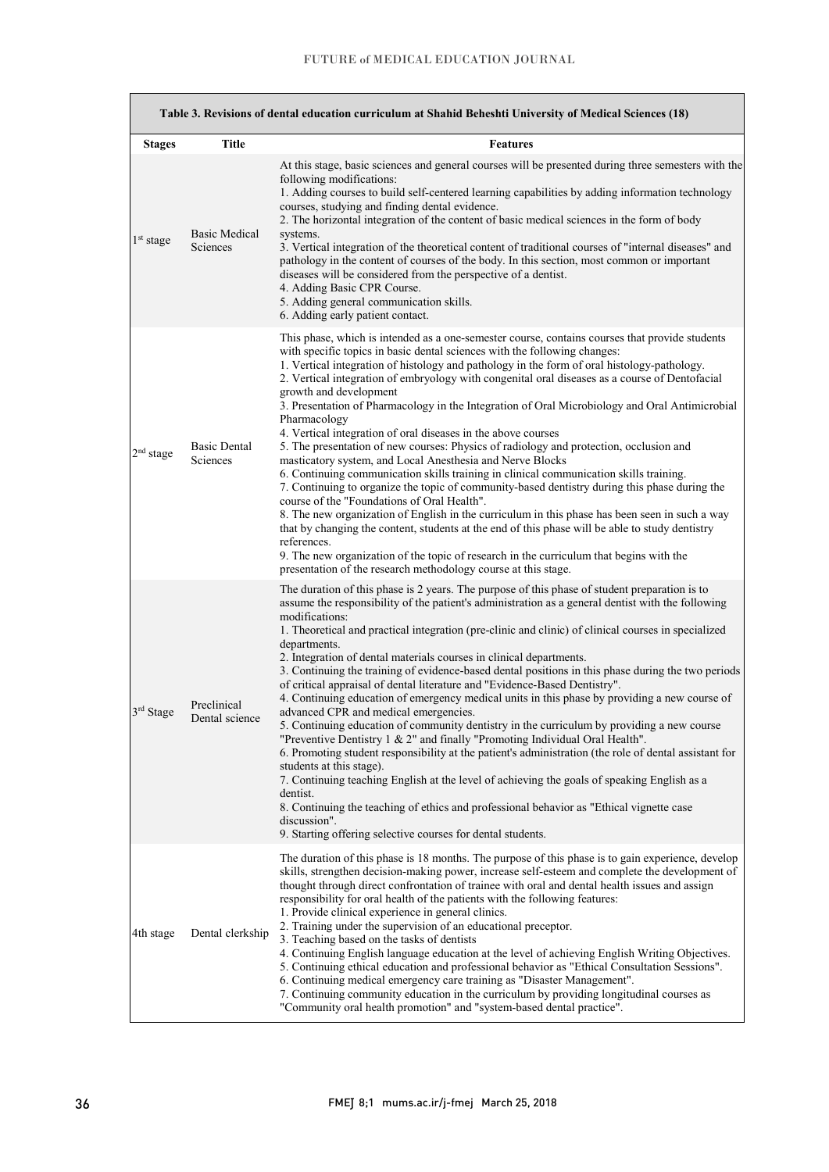| Table 3. Revisions of dental education curriculum at Shahid Beheshti University of Medical Sciences (18) |                                 |                                                                                                                                                                                                                                                                                                                                                                                                                                                                                                                                                                                                                                                                                                                                                                                                                                                                                                                                                                                                                                                                                                                                                                                                                                                                                                                                                                             |  |
|----------------------------------------------------------------------------------------------------------|---------------------------------|-----------------------------------------------------------------------------------------------------------------------------------------------------------------------------------------------------------------------------------------------------------------------------------------------------------------------------------------------------------------------------------------------------------------------------------------------------------------------------------------------------------------------------------------------------------------------------------------------------------------------------------------------------------------------------------------------------------------------------------------------------------------------------------------------------------------------------------------------------------------------------------------------------------------------------------------------------------------------------------------------------------------------------------------------------------------------------------------------------------------------------------------------------------------------------------------------------------------------------------------------------------------------------------------------------------------------------------------------------------------------------|--|
| <b>Stages</b>                                                                                            | <b>Title</b>                    | <b>Features</b>                                                                                                                                                                                                                                                                                                                                                                                                                                                                                                                                                                                                                                                                                                                                                                                                                                                                                                                                                                                                                                                                                                                                                                                                                                                                                                                                                             |  |
| 1 <sup>st</sup> stage                                                                                    | Basic Medical<br>Sciences       | At this stage, basic sciences and general courses will be presented during three semesters with the<br>following modifications:<br>1. Adding courses to build self-centered learning capabilities by adding information technology<br>courses, studying and finding dental evidence.<br>2. The horizontal integration of the content of basic medical sciences in the form of body<br>systems.<br>3. Vertical integration of the theoretical content of traditional courses of "internal diseases" and<br>pathology in the content of courses of the body. In this section, most common or important<br>diseases will be considered from the perspective of a dentist.<br>4. Adding Basic CPR Course.<br>5. Adding general communication skills.<br>6. Adding early patient contact.                                                                                                                                                                                                                                                                                                                                                                                                                                                                                                                                                                                        |  |
| 2 <sup>nd</sup> stage                                                                                    | <b>Basic Dental</b><br>Sciences | This phase, which is intended as a one-semester course, contains courses that provide students<br>with specific topics in basic dental sciences with the following changes:<br>1. Vertical integration of histology and pathology in the form of oral histology-pathology.<br>2. Vertical integration of embryology with congenital oral diseases as a course of Dentofacial<br>growth and development<br>3. Presentation of Pharmacology in the Integration of Oral Microbiology and Oral Antimicrobial<br>Pharmacology<br>4. Vertical integration of oral diseases in the above courses<br>5. The presentation of new courses: Physics of radiology and protection, occlusion and<br>masticatory system, and Local Anesthesia and Nerve Blocks<br>6. Continuing communication skills training in clinical communication skills training.<br>7. Continuing to organize the topic of community-based dentistry during this phase during the<br>course of the "Foundations of Oral Health".<br>8. The new organization of English in the curriculum in this phase has been seen in such a way<br>that by changing the content, students at the end of this phase will be able to study dentistry<br>references.<br>9. The new organization of the topic of research in the curriculum that begins with the<br>presentation of the research methodology course at this stage. |  |
| 3rd Stage                                                                                                | Preclinical<br>Dental science   | The duration of this phase is 2 years. The purpose of this phase of student preparation is to<br>assume the responsibility of the patient's administration as a general dentist with the following<br>modifications:<br>1. Theoretical and practical integration (pre-clinic and clinic) of clinical courses in specialized<br>departments.<br>2. Integration of dental materials courses in clinical departments.<br>3. Continuing the training of evidence-based dental positions in this phase during the two periods<br>of critical appraisal of dental literature and "Evidence-Based Dentistry".<br>4. Continuing education of emergency medical units in this phase by providing a new course of<br>advanced CPR and medical emergencies.<br>5. Continuing education of community dentistry in the curriculum by providing a new course<br>"Preventive Dentistry 1 & 2" and finally "Promoting Individual Oral Health".<br>6. Promoting student responsibility at the patient's administration (the role of dental assistant for<br>students at this stage).<br>7. Continuing teaching English at the level of achieving the goals of speaking English as a<br>dentist.<br>8. Continuing the teaching of ethics and professional behavior as "Ethical vignette case"<br>discussion".<br>9. Starting offering selective courses for dental students.                  |  |
| 4th stage                                                                                                | Dental clerkship                | The duration of this phase is 18 months. The purpose of this phase is to gain experience, develop<br>skills, strengthen decision-making power, increase self-esteem and complete the development of<br>thought through direct confrontation of trainee with oral and dental health issues and assign<br>responsibility for oral health of the patients with the following features:<br>1. Provide clinical experience in general clinics.<br>2. Training under the supervision of an educational preceptor.<br>3. Teaching based on the tasks of dentists<br>4. Continuing English language education at the level of achieving English Writing Objectives.<br>5. Continuing ethical education and professional behavior as "Ethical Consultation Sessions".<br>6. Continuing medical emergency care training as "Disaster Management".<br>7. Continuing community education in the curriculum by providing longitudinal courses as<br>"Community oral health promotion" and "system-based dental practice".                                                                                                                                                                                                                                                                                                                                                                |  |

r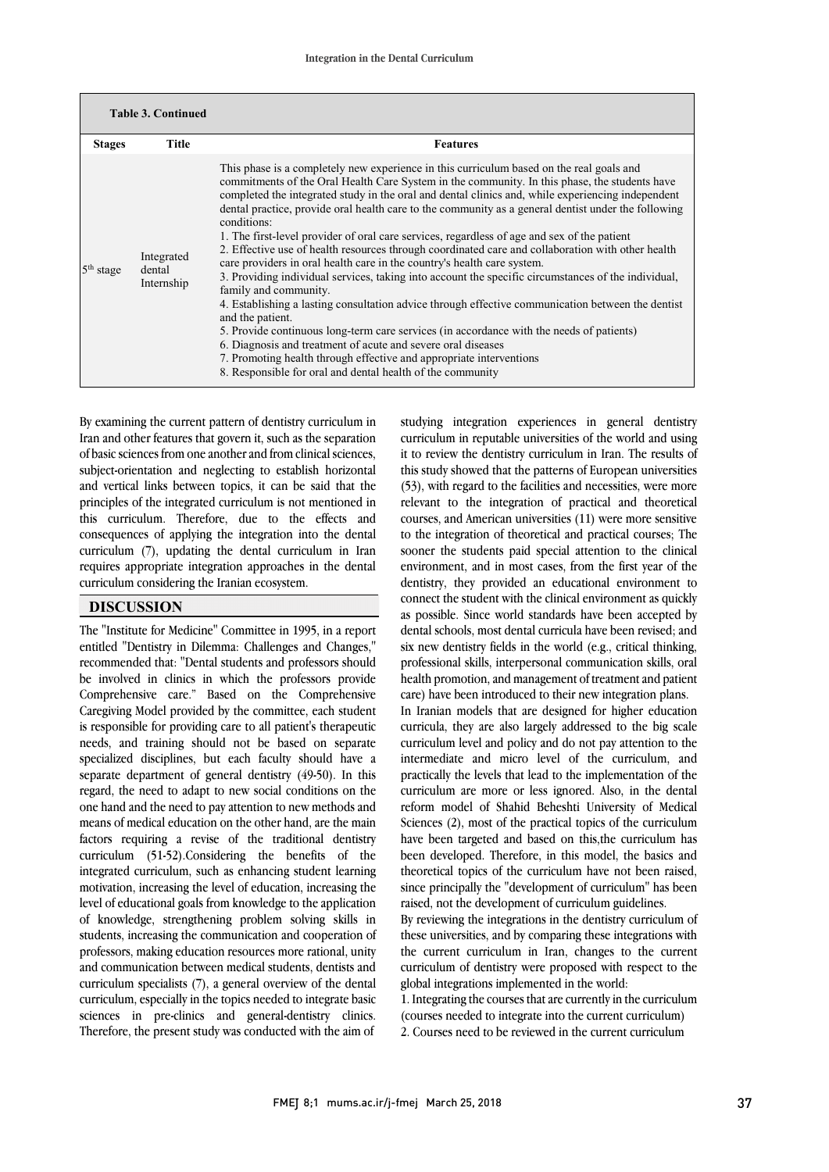| <b>Table 3. Continued</b> |                                    |                                                                                                                                                                                                                                                                                                                                                                                                                                                                                                                                                                                                                                                                                                                                                                                                                                                                                                                                                                                                                                                                                                                                                                                                                                                               |
|---------------------------|------------------------------------|---------------------------------------------------------------------------------------------------------------------------------------------------------------------------------------------------------------------------------------------------------------------------------------------------------------------------------------------------------------------------------------------------------------------------------------------------------------------------------------------------------------------------------------------------------------------------------------------------------------------------------------------------------------------------------------------------------------------------------------------------------------------------------------------------------------------------------------------------------------------------------------------------------------------------------------------------------------------------------------------------------------------------------------------------------------------------------------------------------------------------------------------------------------------------------------------------------------------------------------------------------------|
| <b>Stages</b>             | Title                              | <b>Features</b>                                                                                                                                                                                                                                                                                                                                                                                                                                                                                                                                                                                                                                                                                                                                                                                                                                                                                                                                                                                                                                                                                                                                                                                                                                               |
| $5th$ stage               | Integrated<br>dental<br>Internship | This phase is a completely new experience in this curriculum based on the real goals and<br>commitments of the Oral Health Care System in the community. In this phase, the students have<br>completed the integrated study in the oral and dental clinics and, while experiencing independent<br>dental practice, provide oral health care to the community as a general dentist under the following<br>conditions:<br>1. The first-level provider of oral care services, regardless of age and sex of the patient<br>2. Effective use of health resources through coordinated care and collaboration with other health<br>care providers in oral health care in the country's health care system.<br>3. Providing individual services, taking into account the specific circumstances of the individual,<br>family and community.<br>4. Establishing a lasting consultation advice through effective communication between the dentist<br>and the patient.<br>5. Provide continuous long-term care services (in accordance with the needs of patients)<br>6. Diagnosis and treatment of acute and severe oral diseases<br>7. Promoting health through effective and appropriate interventions<br>8. Responsible for oral and dental health of the community |

By examining the current pattern of dentistry curriculum in Iran and other features that govern it, such as the separation of basic sciences from one another and from clinical sciences, subject-orientation and neglecting to establish horizontal and vertical links between topics, it can be said that the principles of the integrated curriculum is not mentioned in this curriculum. Therefore, due to the effects and consequences of applying the integration into the dental curriculum (7), updating the dental curriculum in Iran requires appropriate integration approaches in the dental curriculum considering the Iranian ecosystem.

## **DISCUSSION**

The "Institute for Medicine" Committee in 1995, in a report entitled "Dentistry in Dilemma: Challenges and Changes," recommended that: "Dental students and professors should be involved in clinics in which the professors provide Comprehensive care." Based on the Comprehensive Caregiving Model provided by the committee, each student is responsible for providing care to all patient's therapeutic needs, and training should not be based on separate specialized disciplines, but each faculty should have a separate department of general dentistry (49-50). In this regard, the need to adapt to new social conditions on the one hand and the need to pay attention to new methods and means of medical education on the other hand, are the main factors requiring a revise of the traditional dentistry curriculum (51-52).Considering the benefits of the integrated curriculum, such as enhancing student learning motivation, increasing the level of education, increasing the level of educational goals from knowledge to the application of knowledge, strengthening problem solving skills in students, increasing the communication and cooperation of professors, making education resources more rational, unity and communication between medical students, dentists and curriculum specialists (7), a general overview of the dental curriculum, especially in the topics needed to integrate basic sciences in pre-clinics and general-dentistry clinics. Therefore, the present study was conducted with the aim of

studying integration experiences in general dentistry curriculum in reputable universities of the world and using it to review the dentistry curriculum in Iran. The results of this study showed that the patterns of European universities (53), with regard to the facilities and necessities, were more relevant to the integration of practical and theoretical courses, and American universities (11) were more sensitive to the integration of theoretical and practical courses; The sooner the students paid special attention to the clinical environment, and in most cases, from the first year of the dentistry, they provided an educational environment to connect the student with the clinical environment as quickly as possible. Since world standards have been accepted by dental schools, most dental curricula have been revised; and six new dentistry fields in the world (e.g., critical thinking, professional skills, interpersonal communication skills, oral health promotion, and management of treatment and patient care) have been introduced to their new integration plans.

In Iranian models that are designed for higher education curricula, they are also largely addressed to the big scale curriculum level and policy and do not pay attention to the intermediate and micro level of the curriculum, and practically the levels that lead to the implementation of the curriculum are more or less ignored. Also, in the dental reform model of Shahid Beheshti University of Medical Sciences (2), most of the practical topics of the curriculum have been targeted and based on this,the curriculum has been developed. Therefore, in this model, the basics and theoretical topics of the curriculum have not been raised, since principally the "development of curriculum" has been raised, not the development of curriculum guidelines.

By reviewing the integrations in the dentistry curriculum of these universities, and by comparing these integrations with the current curriculum in Iran, changes to the current curriculum of dentistry were proposed with respect to the global integrations implemented in the world:

1. Integrating the courses that are currently in the curriculum (courses needed to integrate into the current curriculum) 2. Courses need to be reviewed in the current curriculum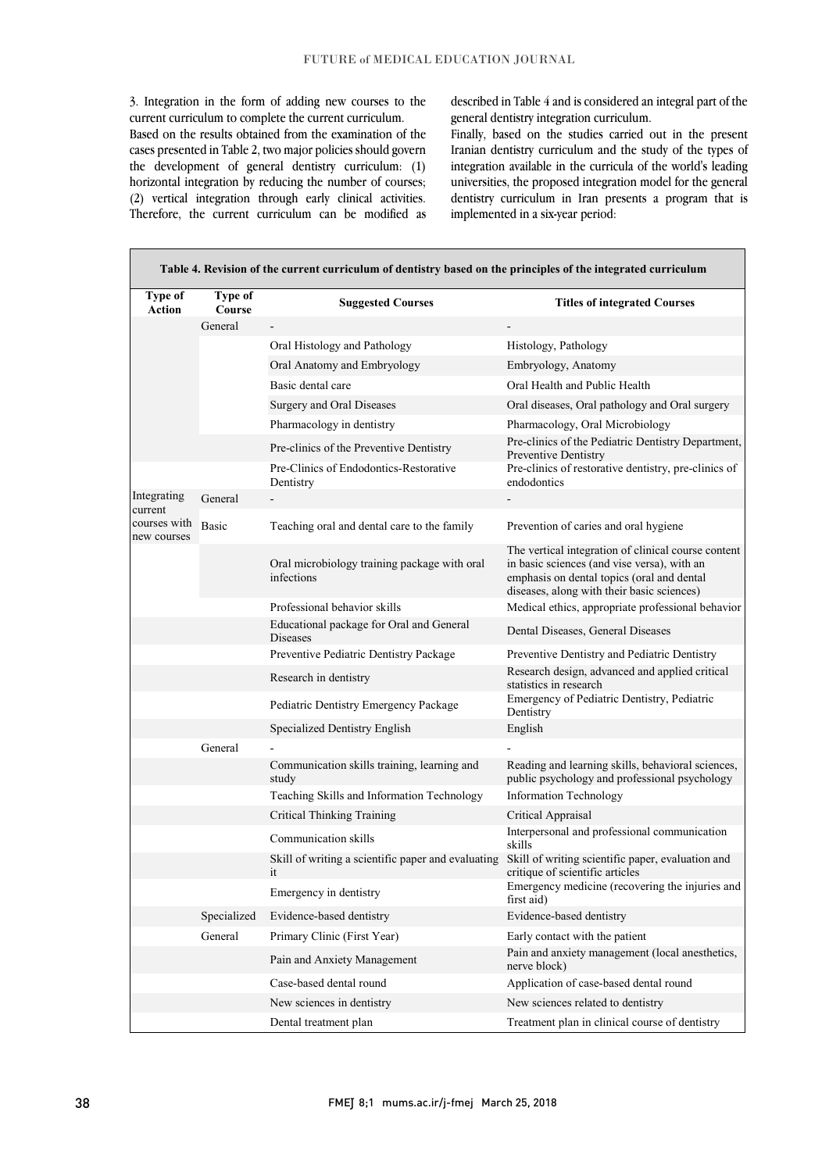3. Integration in the form of adding new courses to the current curriculum to complete the current curriculum. Based on the results obtained from the examination of the cases presented in Table 2, two major policies should govern the development of general dentistry curriculum: (1) horizontal integration by reducing the number of courses; (2) vertical integration through early clinical activities. Therefore, the current curriculum can be modified as

described in Table 4 and is considered an integral part of the general dentistry integration curriculum.

Finally, based on the studies carried out in the present Iranian dentistry curriculum and the study of the types of integration available in the curricula of the world's leading universities, the proposed integration model for the general dentistry curriculum in Iran presents a program that is implemented in a six-year period:

| Table 4. Revision of the current curriculum of dentistry based on the principles of the integrated curriculum |                          |                                                            |                                                                                                                                                                                                |
|---------------------------------------------------------------------------------------------------------------|--------------------------|------------------------------------------------------------|------------------------------------------------------------------------------------------------------------------------------------------------------------------------------------------------|
| <b>Type of</b><br><b>Action</b>                                                                               | <b>Type of</b><br>Course | <b>Suggested Courses</b>                                   | <b>Titles of integrated Courses</b>                                                                                                                                                            |
|                                                                                                               | General                  |                                                            |                                                                                                                                                                                                |
|                                                                                                               |                          | Oral Histology and Pathology                               | Histology, Pathology                                                                                                                                                                           |
|                                                                                                               |                          | Oral Anatomy and Embryology                                | Embryology, Anatomy                                                                                                                                                                            |
|                                                                                                               |                          | Basic dental care                                          | Oral Health and Public Health                                                                                                                                                                  |
|                                                                                                               |                          | Surgery and Oral Diseases                                  | Oral diseases, Oral pathology and Oral surgery                                                                                                                                                 |
|                                                                                                               |                          | Pharmacology in dentistry                                  | Pharmacology, Oral Microbiology                                                                                                                                                                |
|                                                                                                               |                          | Pre-clinics of the Preventive Dentistry                    | Pre-clinics of the Pediatric Dentistry Department,<br><b>Preventive Dentistry</b>                                                                                                              |
|                                                                                                               |                          | Pre-Clinics of Endodontics-Restorative<br>Dentistry        | Pre-clinics of restorative dentistry, pre-clinics of<br>endodontics                                                                                                                            |
| Integrating                                                                                                   | General                  |                                                            |                                                                                                                                                                                                |
| current<br>courses with<br>new courses                                                                        | Basic                    | Teaching oral and dental care to the family                | Prevention of caries and oral hygiene                                                                                                                                                          |
|                                                                                                               |                          | Oral microbiology training package with oral<br>infections | The vertical integration of clinical course content<br>in basic sciences (and vise versa), with an<br>emphasis on dental topics (oral and dental<br>diseases, along with their basic sciences) |
|                                                                                                               |                          | Professional behavior skills                               | Medical ethics, appropriate professional behavior                                                                                                                                              |
|                                                                                                               |                          | Educational package for Oral and General<br>Diseases       | Dental Diseases, General Diseases                                                                                                                                                              |
|                                                                                                               |                          | Preventive Pediatric Dentistry Package                     | Preventive Dentistry and Pediatric Dentistry                                                                                                                                                   |
|                                                                                                               |                          | Research in dentistry                                      | Research design, advanced and applied critical<br>statistics in research                                                                                                                       |
|                                                                                                               |                          | Pediatric Dentistry Emergency Package                      | Emergency of Pediatric Dentistry, Pediatric<br>Dentistry                                                                                                                                       |
|                                                                                                               |                          | Specialized Dentistry English                              | English                                                                                                                                                                                        |
|                                                                                                               | General                  |                                                            |                                                                                                                                                                                                |
|                                                                                                               |                          | Communication skills training, learning and<br>study       | Reading and learning skills, behavioral sciences,<br>public psychology and professional psychology                                                                                             |
|                                                                                                               |                          | Teaching Skills and Information Technology                 | <b>Information Technology</b>                                                                                                                                                                  |
|                                                                                                               |                          | <b>Critical Thinking Training</b>                          | Critical Appraisal                                                                                                                                                                             |
|                                                                                                               |                          | Communication skills                                       | Interpersonal and professional communication<br>skills                                                                                                                                         |
|                                                                                                               |                          | Skill of writing a scientific paper and evaluating<br>it   | Skill of writing scientific paper, evaluation and<br>critique of scientific articles                                                                                                           |
|                                                                                                               |                          | Emergency in dentistry                                     | Emergency medicine (recovering the injuries and<br>first aid)                                                                                                                                  |
|                                                                                                               | Specialized              | Evidence-based dentistry                                   | Evidence-based dentistry                                                                                                                                                                       |
|                                                                                                               | General                  | Primary Clinic (First Year)                                | Early contact with the patient                                                                                                                                                                 |
|                                                                                                               |                          | Pain and Anxiety Management                                | Pain and anxiety management (local anesthetics,<br>nerve block)                                                                                                                                |
|                                                                                                               |                          | Case-based dental round                                    | Application of case-based dental round                                                                                                                                                         |
|                                                                                                               |                          | New sciences in dentistry                                  | New sciences related to dentistry                                                                                                                                                              |
|                                                                                                               |                          | Dental treatment plan                                      | Treatment plan in clinical course of dentistry                                                                                                                                                 |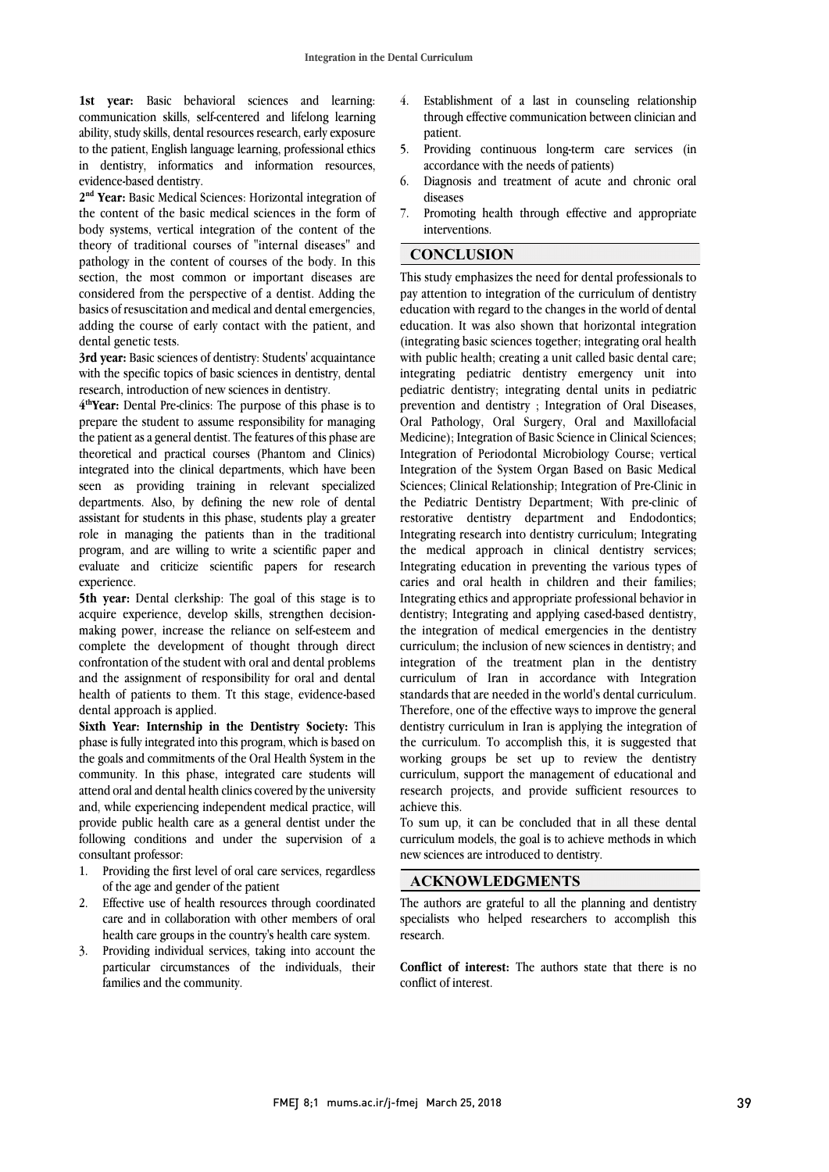**1st year:** Basic behavioral sciences and learning: communication skills, self-centered and lifelong learning ability, study skills, dental resources research, early exposure to the patient, English language learning, professional ethics in dentistry, informatics and information resources, evidence-based dentistry.

**2nd Year:** Basic Medical Sciences: Horizontal integration of the content of the basic medical sciences in the form of body systems, vertical integration of the content of the theory of traditional courses of "internal diseases" and pathology in the content of courses of the body. In this section, the most common or important diseases are considered from the perspective of a dentist. Adding the basics of resuscitation and medical and dental emergencies, adding the course of early contact with the patient, and dental genetic tests.

**3rd year:** Basic sciences of dentistry: Students' acquaintance with the specific topics of basic sciences in dentistry, dental research, introduction of new sciences in dentistry.

**4thYear:** Dental Pre-clinics: The purpose of this phase is to prepare the student to assume responsibility for managing the patient as a general dentist. The features of this phase are theoretical and practical courses (Phantom and Clinics) integrated into the clinical departments, which have been seen as providing training in relevant specialized departments. Also, by defining the new role of dental assistant for students in this phase, students play a greater role in managing the patients than in the traditional program, and are willing to write a scientific paper and evaluate and criticize scientific papers for research experience.

**5th year:** Dental clerkship: The goal of this stage is to acquire experience, develop skills, strengthen decisionmaking power, increase the reliance on self-esteem and complete the development of thought through direct confrontation of the student with oral and dental problems and the assignment of responsibility for oral and dental health of patients to them. Tt this stage, evidence-based dental approach is applied.

**Sixth Year: Internship in the Dentistry Society:** This phase is fully integrated into this program, which is based on the goals and commitments of the Oral Health System in the community. In this phase, integrated care students will attend oral and dental health clinics covered by the university and, while experiencing independent medical practice, will provide public health care as a general dentist under the following conditions and under the supervision of a consultant professor:

- 1. Providing the first level of oral care services, regardless of the age and gender of the patient
- 2. Effective use of health resources through coordinated care and in collaboration with other members of oral health care groups in the country's health care system.
- 3. Providing individual services, taking into account the particular circumstances of the individuals, their families and the community.
- 4. Establishment of a last in counseling relationship through effective communication between clinician and patient.
- 5. Providing continuous long-term care services (in accordance with the needs of patients)
- 6. Diagnosis and treatment of acute and chronic oral diseases
- 7. Promoting health through effective and appropriate interventions.

## **CONCLUSION**

This study emphasizes the need for dental professionals to pay attention to integration of the curriculum of dentistry education with regard to the changes in the world of dental education. It was also shown that horizontal integration (integrating basic sciences together; integrating oral health with public health; creating a unit called basic dental care; integrating pediatric dentistry emergency unit into pediatric dentistry; integrating dental units in pediatric prevention and dentistry ; Integration of Oral Diseases, Oral Pathology, Oral Surgery, Oral and Maxillofacial Medicine); Integration of Basic Science in Clinical Sciences; Integration of Periodontal Microbiology Course; vertical Integration of the System Organ Based on Basic Medical Sciences; Clinical Relationship; Integration of Pre-Clinic in the Pediatric Dentistry Department; With pre-clinic of restorative dentistry department and Endodontics; Integrating research into dentistry curriculum; Integrating the medical approach in clinical dentistry services; Integrating education in preventing the various types of caries and oral health in children and their families; Integrating ethics and appropriate professional behavior in dentistry; Integrating and applying cased-based dentistry, the integration of medical emergencies in the dentistry curriculum; the inclusion of new sciences in dentistry; and integration of the treatment plan in the dentistry curriculum of Iran in accordance with Integration standards that are needed in the world's dental curriculum. Therefore, one of the effective ways to improve the general dentistry curriculum in Iran is applying the integration of the curriculum. To accomplish this, it is suggested that working groups be set up to review the dentistry curriculum, support the management of educational and research projects, and provide sufficient resources to achieve this.

To sum up, it can be concluded that in all these dental curriculum models, the goal is to achieve methods in which new sciences are introduced to dentistry.

#### **ACKNOWLEDGMENTS**

The authors are grateful to all the planning and dentistry specialists who helped researchers to accomplish this research.

**Conflict of interest:** The authors state that there is no conflict of interest.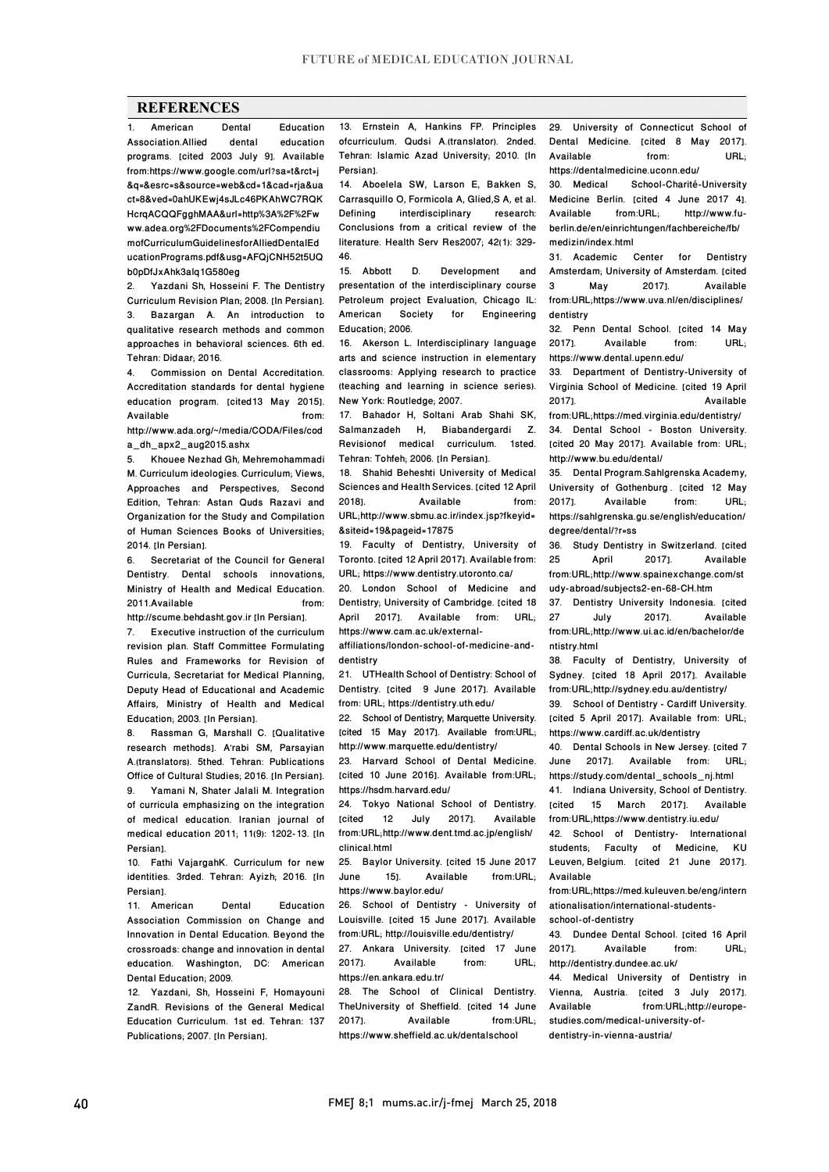## **REFERENCES**

**1. American Dental Education**<br>
1. Claricon Allied dental education **Association Allied** programs. [cited 2003 July 9]. Available from:https://www.google.com/url?sa=t&rct=j &q=&esrc=s&source=web&cd=1&cad=rja&ua ct=8&ved=0ahUKEwj4sJLc46PKAhWC7RQK HcrqACQQFgghMAA&url=http%3A%2F%2Fw ww.adea.org%2FDocuments%2FCompendiu mofCurriculumGuidelinesforAlliedDentalEd ucationPrograms.pdf&usg=AFQjCNH52t5UQ b0pDfJxAhk3alq1G580eg

2. Yazdani Sh, Hosseini F. The Dentistry Curriculum Revision Plan; 2008. [In Persian]. Bazargan A. An introduction to qualitative research methods and common approaches in behavioral sciences. 6th ed. Tehran: Didaar; 2016.

4. Commission on Dental Accreditation. Accreditation standards for dental hygiene education program. [cited13 May 2015]. Available from: http://www.ada.org/~/media/CODA/Files/cod

a\_dh\_apx2\_aug2015.ashx

5. Khouee Nezhad Gh, Mehremohammadi M. Curriculum ideologies. Curriculum; Views, Approaches and Perspectives, Second Edition, Tehran: Astan Quds Razavi and Organization for the Study and Compilation of Human Sciences Books of Universities; 2014. **In Persian1** 

6. Secretariat of the Council for General Dentistry. Dental schools innovations, Ministry of Health and Medical Education.<br>2011 Available from 2011 Available

http://scume.behdasht.gov.ir [In Persian].

7. Executive instruction of the curriculum revision plan. Staff Committee Formulating Rules and Frameworks for Revision of Curricula, Secretariat for Medical Planning, Deputy Head of Educational and Academic Affairs, Ministry of Health and Medical Education: 2003. [In Persian].

8. Rassman G, Marshall C. [Qualitative research methods]. A'rabi SM, Parsayian A.(translators). 5thed. Tehran: Publications Office of Cultural Studies; 2016. [In Persian]. 9. Yamani N, Shater Jalali M, Integration of curricula emphasizing on the integration of medical education. Iranian journal of medical education 2011; 11(9): 1202-13. [In Persian].

10. Fathi VajargahK. Curriculum for new identities. 3rded. Tehran: Ayizh; 2016. [In Persian].

11. American Dental Education Association Commission on Change and Innovation in Dental Education. Beyond the crossroads: change and innovation in dental education. Washington, DC: American Dental Education; 2009.

12. Yazdani, Sh, Hosseini F, Homayouni ZandR. Revisions of the General Medical Education Curriculum. 1st ed. Tehran: 137 Publications; 2007. [In Persian].

13. Ernstein A, Hankins FP. Principles ofcurriculum. Qudsi A.(translator). 2nded. Tehran: Islamic Azad University; 2010. [In Persian].

14. Aboelela SW, Larson E, Bakken S, Carrasquillo O, Formicola A, Glied, S A, et al.<br>Defining interdisciplinary research: interdisciplinary research: Conclusions from a critical review of the literature. Health Serv Res2007; 42(1): 329- 46.

15. Abbott D. Development and presentation of the interdisciplinary course Petroleum project Evaluation, Chicago IL: Society for Engineering Education; 2006.

16. Akerson L. Interdisciplinary language arts and science instruction in elementary classrooms: Applying research to practice (teaching and learning in science series). New York: Routledge; 2007.

17. Bahador H, Soltani Arab Shahi SK, Salmanzadeh H, Biabandergardi Z. Revisionof medical curriculum. 1sted. Tehran: Tohfeh: 2006. [In Persian].

18. Shahid Beheshti University of Medical Sciences and Health Services. [cited 12 April 2018]. Available from: URL;http://www.sbmu.ac.ir/index.jsp?fkeyid= &siteid=19&pageid=17875

19. Faculty of Dentistry, University of Toronto. [cited 12 April 2017]. Available from: URL; https://www.dentistry.utoronto.ca/

20. London School of Medicine and Dentistry; University of Cambridge. [cited 18<br>April 2017]. Available from: URL; 2017]. Available from: https://www.cam.ac.uk/external-

affiliations/london-school-of-medicine-anddentistry

21. UTHealth School of Dentistry: School of Dentistry. [cited 9 June 2017]. Available from: URL; https://dentistry.uth.edu/

22. School of Dentistry; Marquette University. [cited 15 May 2017]. Available from:URL; http://www.marquette.edu/dentistry/

23. Harvard School of Dental Medicine. [cited 10 June 2016]. Available from:URL; https://hsdm.harvard.edu/

24. Tokyo National School of Dentistry. [cited 12 July 2017]. Available from:URL;http://www.dent.tmd.ac.jp/english/ clinical.html

25. Baylor University. [cited 15 June 2017<br>June 151. Available from:URL: June 151. Available https://www.baylor.edu/

26. School of Dentistry - University of Louisville. [cited 15 June 2017]. Available from:URL; http://louisville.edu/dentistry/

27. Ankara University. [cited 17 June 2017]. Available from: URL; https://en.ankara.edu.tr/

28. The School of Clinical Dentistry. TheUniversity of Sheffield. [cited 14 June 2017]. Available from:URL; https://www.sheffield.ac.uk/dentalschool

29. University of Connecticut School of Dental Medicine. [cited 8 May 2017]. Available from: URL;

https://dentalmedicine.uconn.edu/<br>30 Medical School-Charité School-Charité-University Medicine Berlin. [cited 4 June 2017 4]. Available from:URL; http://www.fuberlin.de/en/einrichtungen/fachbereiche/fb/ medizin/index.html

31. Academic Center for Dentistry Amsterdam; University of Amsterdam. [cited<br>3 May 2017]. Available **Available** from:URL;https://www.uva.nl/en/disciplines/ dentistry

32. Penn Dental School. [cited 14 May<br>20171. Available from: URL: Available https://www.dental.upenn.edu/

33. Department of Dentistry-University of Virginia School of Medicine. [cited 19 April Available from:URL;https://med.virginia.edu/dentistry/

34. Dental School - Boston University. [cited 20 May 2017]. Available from: URL; http://www.bu.edu/dental/

35. Dental Program.Sahlgrenska Academy, University of Gothenburg . [cited 12 May Available https://sahlgrenska.gu.se/english/education/ degree/dental/?r=ss

36. Study Dentistry in Switzerland. [cited<br>25. April 2017]. Available **Available** from:URL;http://www.spainexchange.com/st udy-abroad/subjects2-en-68-CH.htm

37. Dentistry University Indonesia. [cited<br>27 July 2017]. Available Available from:URL;http://www.ui.ac.id/en/bachelor/de ntistry.html

38. Faculty of Dentistry, University of Sydney. [cited 18 April 2017]. Available from:URL;http://sydney.edu.au/dentistry/

39. School of Dentistry - Cardiff University. [cited 5 April 2017]. Available from: URL; https://www.cardiff.ac.uk/dentistry

40. Dental Schools in New Jersey. [cited 7 June 2017]. Available from: URL; https://study.com/dental\_schools\_nj.html

41. Indiana University, School of Dentistry.<br>
Inited 15 March 20171 Available 15 March 2017]. from:URL;https://www.dentistry.iu.edu/

42. School of Dentistry- International students; Faculty of Medicine, KU Leuven, Belgium. [cited 21 June 2017]. Available

from:URL;https://med.kuleuven.be/eng/intern ationalisation/international-students-

school-of-dentistry

43. Dundee Dental School. [cited 16 April<br>2017]. Available from: URL; Available http://dentistry.dundee.ac.uk/

44. Medical University of Dentistry in Vienna, Austria. [cited 3 July 2017]. Available from:URL;http://europestudies.com/medical-university-ofdentistry-in-vienna-austria/